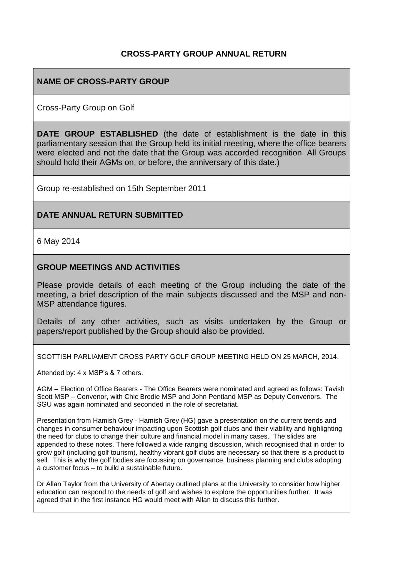## **CROSS-PARTY GROUP ANNUAL RETURN**

## **NAME OF CROSS-PARTY GROUP**

Cross-Party Group on Golf

**DATE GROUP ESTABLISHED** (the date of establishment is the date in this parliamentary session that the Group held its initial meeting, where the office bearers were elected and not the date that the Group was accorded recognition. All Groups should hold their AGMs on, or before, the anniversary of this date.)

Group re-established on 15th September 2011

### **DATE ANNUAL RETURN SUBMITTED**

6 May 2014

### **GROUP MEETINGS AND ACTIVITIES**

Please provide details of each meeting of the Group including the date of the meeting, a brief description of the main subjects discussed and the MSP and non-MSP attendance figures.

Details of any other activities, such as visits undertaken by the Group or papers/report published by the Group should also be provided.

SCOTTISH PARLIAMENT CROSS PARTY GOLF GROUP MEETING HELD ON 25 MARCH, 2014.

Attended by: 4 x MSP's & 7 others.

AGM – Election of Office Bearers - The Office Bearers were nominated and agreed as follows: Tavish Scott MSP – Convenor, with Chic Brodie MSP and John Pentland MSP as Deputy Convenors. The SGU was again nominated and seconded in the role of secretariat.

Presentation from Hamish Grey - Hamish Grey (HG) gave a presentation on the current trends and changes in consumer behaviour impacting upon Scottish golf clubs and their viability and highlighting the need for clubs to change their culture and financial model in many cases. The slides are appended to these notes. There followed a wide ranging discussion, which recognised that in order to grow golf (including golf tourism), healthy vibrant golf clubs are necessary so that there is a product to sell. This is why the golf bodies are focussing on governance, business planning and clubs adopting a customer focus – to build a sustainable future.

Dr Allan Taylor from the University of Abertay outlined plans at the University to consider how higher education can respond to the needs of golf and wishes to explore the opportunities further. It was agreed that in the first instance HG would meet with Allan to discuss this further.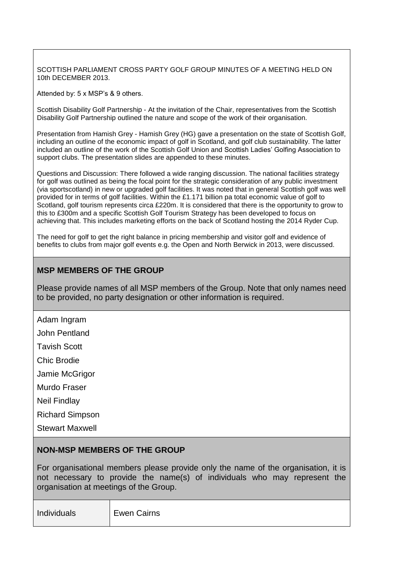SCOTTISH PARLIAMENT CROSS PARTY GOLF GROUP MINUTES OF A MEETING HELD ON 10th DECEMBER 2013.

Attended by: 5 x MSP's & 9 others.

Scottish Disability Golf Partnership - At the invitation of the Chair, representatives from the Scottish Disability Golf Partnership outlined the nature and scope of the work of their organisation.

Presentation from Hamish Grey - Hamish Grey (HG) gave a presentation on the state of Scottish Golf, including an outline of the economic impact of golf in Scotland, and golf club sustainability. The latter included an outline of the work of the Scottish Golf Union and Scottish Ladies' Golfing Association to support clubs. The presentation slides are appended to these minutes.

Questions and Discussion: There followed a wide ranging discussion. The national facilities strategy for golf was outlined as being the focal point for the strategic consideration of any public investment (via sportscotland) in new or upgraded golf facilities. It was noted that in general Scottish golf was well provided for in terms of golf facilities. Within the £1.171 billion pa total economic value of golf to Scotland, golf tourism represents circa £220m. It is considered that there is the opportunity to grow to this to £300m and a specific Scottish Golf Tourism Strategy has been developed to focus on achieving that. This includes marketing efforts on the back of Scotland hosting the 2014 Ryder Cup.

The need for golf to get the right balance in pricing membership and visitor golf and evidence of benefits to clubs from major golf events e.g. the Open and North Berwick in 2013, were discussed.

## **MSP MEMBERS OF THE GROUP**

Please provide names of all MSP members of the Group. Note that only names need to be provided, no party designation or other information is required.

Adam Ingram

John Pentland

Tavish Scott

Chic Brodie

Jamie McGrigor

Murdo Fraser

Neil Findlay

Richard Simpson

Stewart Maxwell

#### **NON-MSP MEMBERS OF THE GROUP**

For organisational members please provide only the name of the organisation, it is not necessary to provide the name(s) of individuals who may represent the organisation at meetings of the Group.

Individuals Ewen Cairns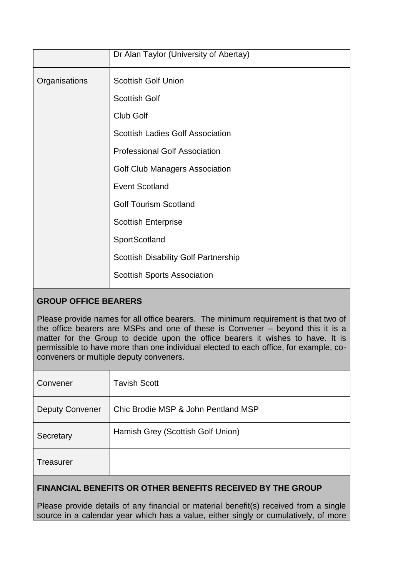|               | Dr Alan Taylor (University of Abertay)      |
|---------------|---------------------------------------------|
| Organisations | <b>Scottish Golf Union</b>                  |
|               | <b>Scottish Golf</b>                        |
|               | Club Golf                                   |
|               | <b>Scottish Ladies Golf Association</b>     |
|               | <b>Professional Golf Association</b>        |
|               | <b>Golf Club Managers Association</b>       |
|               | <b>Event Scotland</b>                       |
|               | <b>Golf Tourism Scotland</b>                |
|               | <b>Scottish Enterprise</b>                  |
|               | SportScotland                               |
|               | <b>Scottish Disability Golf Partnership</b> |
|               | <b>Scottish Sports Association</b>          |

# **GROUP OFFICE BEARERS**

Please provide names for all office bearers. The minimum requirement is that two of the office bearers are MSPs and one of these is Convener – beyond this it is a matter for the Group to decide upon the office bearers it wishes to have. It is permissible to have more than one individual elected to each office, for example, coconveners or multiple deputy conveners.

| Convener               | <b>Tavish Scott</b>                 |
|------------------------|-------------------------------------|
| <b>Deputy Convener</b> | Chic Brodie MSP & John Pentland MSP |
| Secretary              | Hamish Grey (Scottish Golf Union)   |
| <b>Treasurer</b>       |                                     |

# **FINANCIAL BENEFITS OR OTHER BENEFITS RECEIVED BY THE GROUP**

Please provide details of any financial or material benefit(s) received from a single source in a calendar year which has a value, either singly or cumulatively, of more